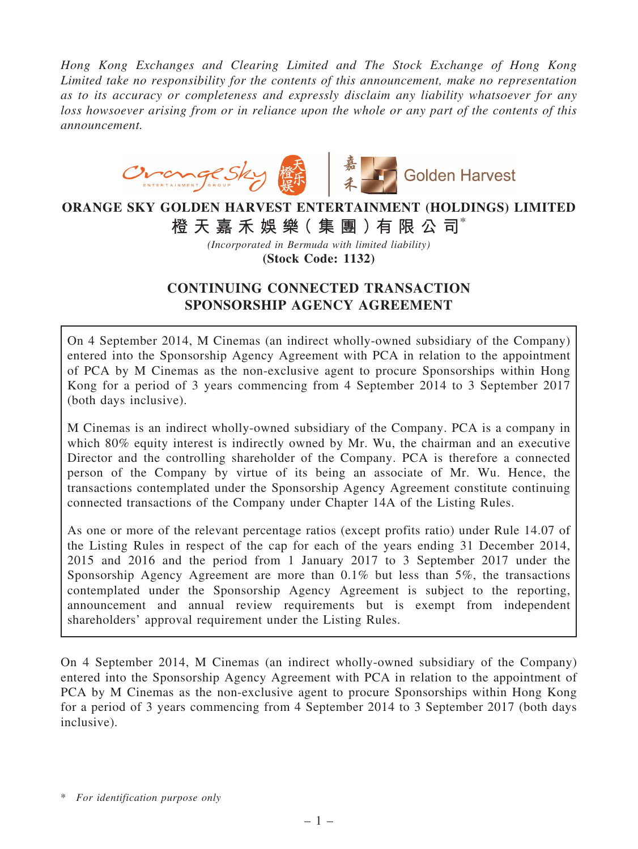*Hong Kong Exchanges and Clearing Limited and The Stock Exchange of Hong Kong Limited take no responsibility for the contents of this announcement, make no representation as to its accuracy or completeness and expressly disclaim any liability whatsoever for any loss howsoever arising from or in reliance upon the whole or any part of the contents of this announcement.*



# ORANGE SKY GOLDEN HARVEST ENTERTAINMENT (HOLDINGS) LIMITED 橙 天 嘉 禾 娛 樂( 集 團 )有 限 公 司\*

*(Incorporated in Bermuda with limited liability)*

(Stock Code: 1132)

## CONTINUING CONNECTED TRANSACTION SPONSORSHIP AGENCY AGREEMENT

On 4 September 2014, M Cinemas (an indirect wholly-owned subsidiary of the Company) entered into the Sponsorship Agency Agreement with PCA in relation to the appointment of PCA by M Cinemas as the non-exclusive agent to procure Sponsorships within Hong Kong for a period of 3 years commencing from 4 September 2014 to 3 September 2017 (both days inclusive).

M Cinemas is an indirect wholly-owned subsidiary of the Company. PCA is a company in which 80% equity interest is indirectly owned by Mr. Wu, the chairman and an executive Director and the controlling shareholder of the Company. PCA is therefore a connected person of the Company by virtue of its being an associate of Mr. Wu. Hence, the transactions contemplated under the Sponsorship Agency Agreement constitute continuing connected transactions of the Company under Chapter 14A of the Listing Rules.

As one or more of the relevant percentage ratios (except profits ratio) under Rule 14.07 of the Listing Rules in respect of the cap for each of the years ending 31 December 2014, 2015 and 2016 and the period from 1 January 2017 to 3 September 2017 under the Sponsorship Agency Agreement are more than 0.1% but less than 5%, the transactions contemplated under the Sponsorship Agency Agreement is subject to the reporting, announcement and annual review requirements but is exempt from independent shareholders' approval requirement under the Listing Rules.

On 4 September 2014, M Cinemas (an indirect wholly-owned subsidiary of the Company) entered into the Sponsorship Agency Agreement with PCA in relation to the appointment of PCA by M Cinemas as the non-exclusive agent to procure Sponsorships within Hong Kong for a period of 3 years commencing from 4 September 2014 to 3 September 2017 (both days inclusive).

<sup>\*</sup> *For identification purpose only*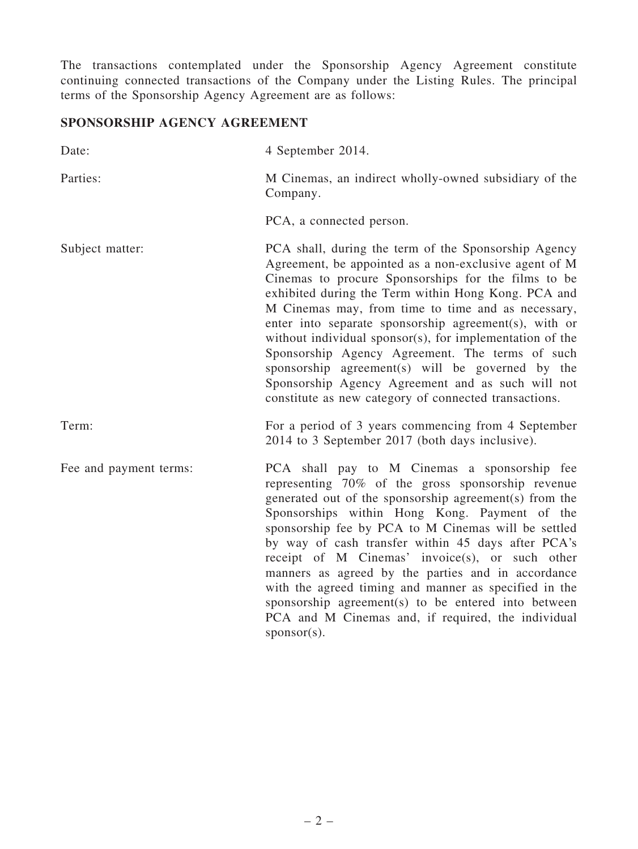The transactions contemplated under the Sponsorship Agency Agreement constitute continuing connected transactions of the Company under the Listing Rules. The principal terms of the Sponsorship Agency Agreement are as follows:

## SPONSORSHIP AGENCY AGREEMENT

| Date:                  | 4 September 2014.                                                                                                                                                                                                                                                                                                                                                                                                                                                                                                                                                                                                           |
|------------------------|-----------------------------------------------------------------------------------------------------------------------------------------------------------------------------------------------------------------------------------------------------------------------------------------------------------------------------------------------------------------------------------------------------------------------------------------------------------------------------------------------------------------------------------------------------------------------------------------------------------------------------|
| Parties:               | M Cinemas, an indirect wholly-owned subsidiary of the<br>Company.                                                                                                                                                                                                                                                                                                                                                                                                                                                                                                                                                           |
|                        | PCA, a connected person.                                                                                                                                                                                                                                                                                                                                                                                                                                                                                                                                                                                                    |
| Subject matter:        | PCA shall, during the term of the Sponsorship Agency<br>Agreement, be appointed as a non-exclusive agent of M<br>Cinemas to procure Sponsorships for the films to be<br>exhibited during the Term within Hong Kong. PCA and<br>M Cinemas may, from time to time and as necessary,<br>enter into separate sponsorship agreement(s), with or<br>without individual sponsor(s), for implementation of the<br>Sponsorship Agency Agreement. The terms of such<br>sponsorship agreement(s) will be governed by the<br>Sponsorship Agency Agreement and as such will not<br>constitute as new category of connected transactions. |
| Term:                  | For a period of 3 years commencing from 4 September<br>2014 to 3 September 2017 (both days inclusive).                                                                                                                                                                                                                                                                                                                                                                                                                                                                                                                      |
| Fee and payment terms: | PCA shall pay to M Cinemas a sponsorship fee<br>representing 70% of the gross sponsorship revenue<br>generated out of the sponsorship agreement(s) from the<br>Sponsorships within Hong Kong. Payment of the<br>sponsorship fee by PCA to M Cinemas will be settled<br>by way of cash transfer within 45 days after PCA's<br>receipt of M Cinemas' invoice(s), or such other<br>manners as agreed by the parties and in accordance<br>with the agreed timing and manner as specified in the<br>sponsorship agreement(s) to be entered into between<br>PCA and M Cinemas and, if required, the individual<br>$sponsor(s)$ .  |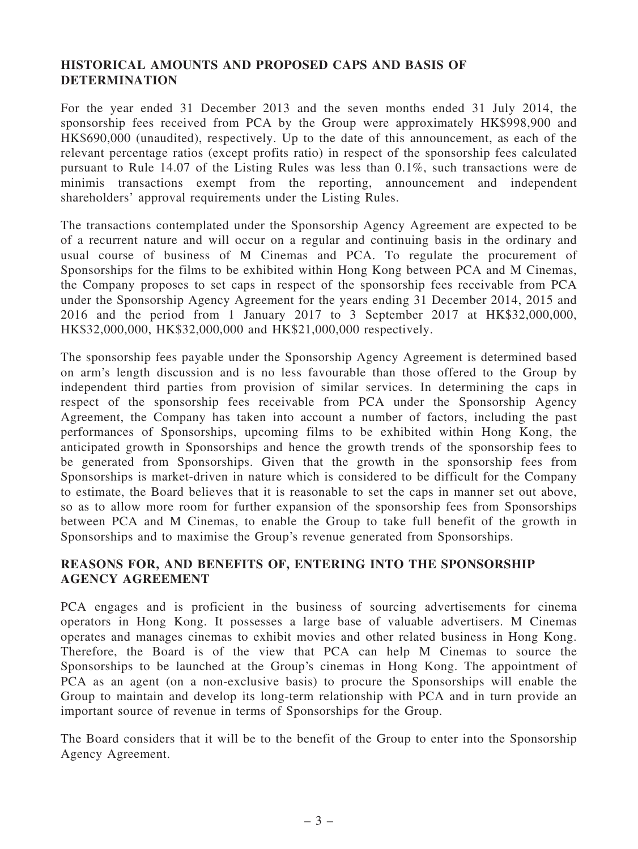### HISTORICAL AMOUNTS AND PROPOSED CAPS AND BASIS OF DETERMINATION

For the year ended 31 December 2013 and the seven months ended 31 July 2014, the sponsorship fees received from PCA by the Group were approximately HK\$998,900 and HK\$690,000 (unaudited), respectively. Up to the date of this announcement, as each of the relevant percentage ratios (except profits ratio) in respect of the sponsorship fees calculated pursuant to Rule 14.07 of the Listing Rules was less than 0.1%, such transactions were de minimis transactions exempt from the reporting, announcement and independent shareholders' approval requirements under the Listing Rules.

The transactions contemplated under the Sponsorship Agency Agreement are expected to be of a recurrent nature and will occur on a regular and continuing basis in the ordinary and usual course of business of M Cinemas and PCA. To regulate the procurement of Sponsorships for the films to be exhibited within Hong Kong between PCA and M Cinemas, the Company proposes to set caps in respect of the sponsorship fees receivable from PCA under the Sponsorship Agency Agreement for the years ending 31 December 2014, 2015 and 2016 and the period from 1 January 2017 to 3 September 2017 at HK\$32,000,000, HK\$32,000,000, HK\$32,000,000 and HK\$21,000,000 respectively.

The sponsorship fees payable under the Sponsorship Agency Agreement is determined based on arm's length discussion and is no less favourable than those offered to the Group by independent third parties from provision of similar services. In determining the caps in respect of the sponsorship fees receivable from PCA under the Sponsorship Agency Agreement, the Company has taken into account a number of factors, including the past performances of Sponsorships, upcoming films to be exhibited within Hong Kong, the anticipated growth in Sponsorships and hence the growth trends of the sponsorship fees to be generated from Sponsorships. Given that the growth in the sponsorship fees from Sponsorships is market-driven in nature which is considered to be difficult for the Company to estimate, the Board believes that it is reasonable to set the caps in manner set out above, so as to allow more room for further expansion of the sponsorship fees from Sponsorships between PCA and M Cinemas, to enable the Group to take full benefit of the growth in Sponsorships and to maximise the Group's revenue generated from Sponsorships.

#### REASONS FOR, AND BENEFITS OF, ENTERING INTO THE SPONSORSHIP AGENCY AGREEMENT

PCA engages and is proficient in the business of sourcing advertisements for cinema operators in Hong Kong. It possesses a large base of valuable advertisers. M Cinemas operates and manages cinemas to exhibit movies and other related business in Hong Kong. Therefore, the Board is of the view that PCA can help M Cinemas to source the Sponsorships to be launched at the Group's cinemas in Hong Kong. The appointment of PCA as an agent (on a non-exclusive basis) to procure the Sponsorships will enable the Group to maintain and develop its long-term relationship with PCA and in turn provide an important source of revenue in terms of Sponsorships for the Group.

The Board considers that it will be to the benefit of the Group to enter into the Sponsorship Agency Agreement.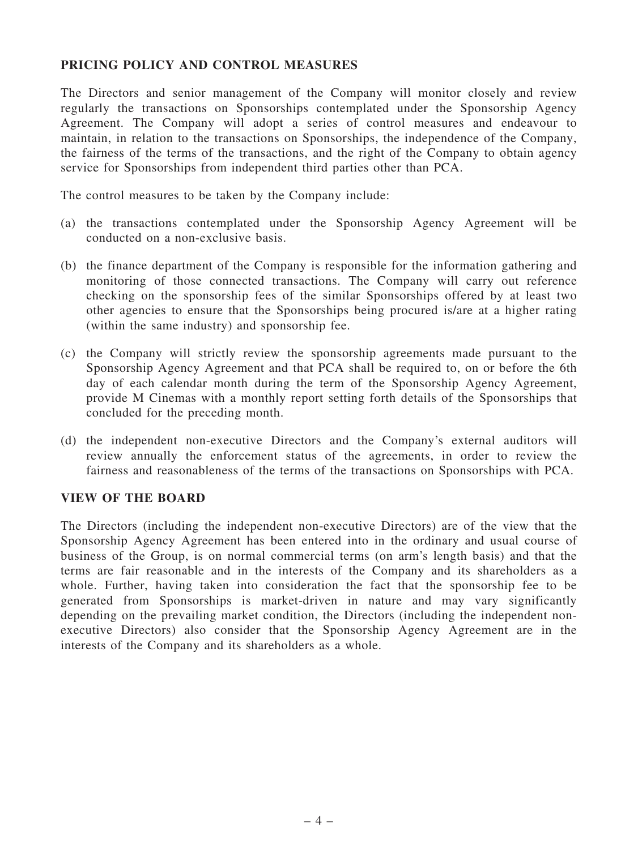### PRICING POLICY AND CONTROL MEASURES

The Directors and senior management of the Company will monitor closely and review regularly the transactions on Sponsorships contemplated under the Sponsorship Agency Agreement. The Company will adopt a series of control measures and endeavour to maintain, in relation to the transactions on Sponsorships, the independence of the Company, the fairness of the terms of the transactions, and the right of the Company to obtain agency service for Sponsorships from independent third parties other than PCA.

The control measures to be taken by the Company include:

- (a) the transactions contemplated under the Sponsorship Agency Agreement will be conducted on a non-exclusive basis.
- (b) the finance department of the Company is responsible for the information gathering and monitoring of those connected transactions. The Company will carry out reference checking on the sponsorship fees of the similar Sponsorships offered by at least two other agencies to ensure that the Sponsorships being procured is/are at a higher rating (within the same industry) and sponsorship fee.
- (c) the Company will strictly review the sponsorship agreements made pursuant to the Sponsorship Agency Agreement and that PCA shall be required to, on or before the 6th day of each calendar month during the term of the Sponsorship Agency Agreement, provide M Cinemas with a monthly report setting forth details of the Sponsorships that concluded for the preceding month.
- (d) the independent non-executive Directors and the Company's external auditors will review annually the enforcement status of the agreements, in order to review the fairness and reasonableness of the terms of the transactions on Sponsorships with PCA.

#### VIEW OF THE BOARD

The Directors (including the independent non-executive Directors) are of the view that the Sponsorship Agency Agreement has been entered into in the ordinary and usual course of business of the Group, is on normal commercial terms (on arm's length basis) and that the terms are fair reasonable and in the interests of the Company and its shareholders as a whole. Further, having taken into consideration the fact that the sponsorship fee to be generated from Sponsorships is market-driven in nature and may vary significantly depending on the prevailing market condition, the Directors (including the independent nonexecutive Directors) also consider that the Sponsorship Agency Agreement are in the interests of the Company and its shareholders as a whole.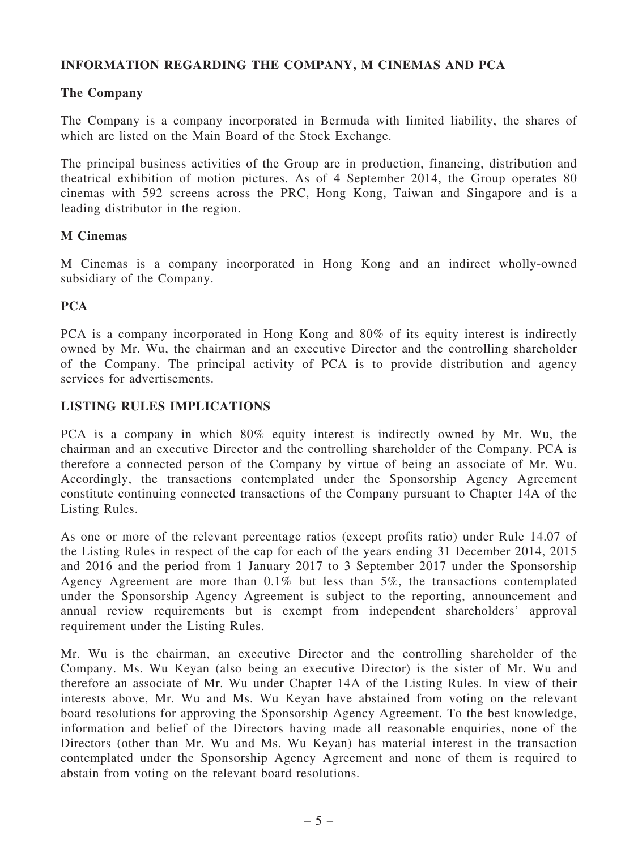## INFORMATION REGARDING THE COMPANY, M CINEMAS AND PCA

## The Company

The Company is a company incorporated in Bermuda with limited liability, the shares of which are listed on the Main Board of the Stock Exchange.

The principal business activities of the Group are in production, financing, distribution and theatrical exhibition of motion pictures. As of 4 September 2014, the Group operates 80 cinemas with 592 screens across the PRC, Hong Kong, Taiwan and Singapore and is a leading distributor in the region.

#### M Cinemas

M Cinemas is a company incorporated in Hong Kong and an indirect wholly-owned subsidiary of the Company.

## **PCA**

PCA is a company incorporated in Hong Kong and 80% of its equity interest is indirectly owned by Mr. Wu, the chairman and an executive Director and the controlling shareholder of the Company. The principal activity of PCA is to provide distribution and agency services for advertisements.

### LISTING RULES IMPLICATIONS

PCA is a company in which 80% equity interest is indirectly owned by Mr. Wu, the chairman and an executive Director and the controlling shareholder of the Company. PCA is therefore a connected person of the Company by virtue of being an associate of Mr. Wu. Accordingly, the transactions contemplated under the Sponsorship Agency Agreement constitute continuing connected transactions of the Company pursuant to Chapter 14A of the Listing Rules.

As one or more of the relevant percentage ratios (except profits ratio) under Rule 14.07 of the Listing Rules in respect of the cap for each of the years ending 31 December 2014, 2015 and 2016 and the period from 1 January 2017 to 3 September 2017 under the Sponsorship Agency Agreement are more than 0.1% but less than 5%, the transactions contemplated under the Sponsorship Agency Agreement is subject to the reporting, announcement and annual review requirements but is exempt from independent shareholders' approval requirement under the Listing Rules.

Mr. Wu is the chairman, an executive Director and the controlling shareholder of the Company. Ms. Wu Keyan (also being an executive Director) is the sister of Mr. Wu and therefore an associate of Mr. Wu under Chapter 14A of the Listing Rules. In view of their interests above, Mr. Wu and Ms. Wu Keyan have abstained from voting on the relevant board resolutions for approving the Sponsorship Agency Agreement. To the best knowledge, information and belief of the Directors having made all reasonable enquiries, none of the Directors (other than Mr. Wu and Ms. Wu Keyan) has material interest in the transaction contemplated under the Sponsorship Agency Agreement and none of them is required to abstain from voting on the relevant board resolutions.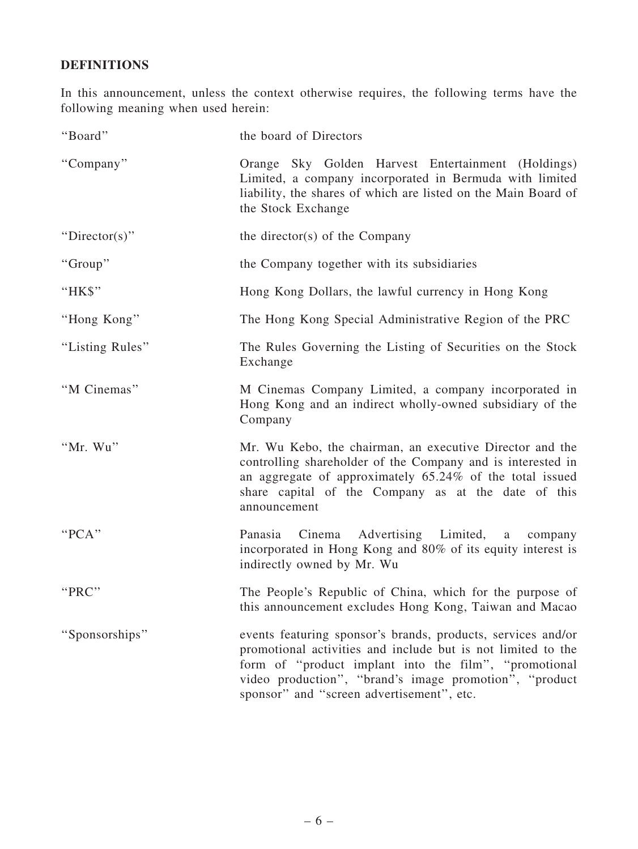## DEFINITIONS

In this announcement, unless the context otherwise requires, the following terms have the following meaning when used herein:

| "Board"         | the board of Directors                                                                                                                                                                                                                                                                       |
|-----------------|----------------------------------------------------------------------------------------------------------------------------------------------------------------------------------------------------------------------------------------------------------------------------------------------|
| "Company"       | Orange Sky Golden Harvest Entertainment (Holdings)<br>Limited, a company incorporated in Bermuda with limited<br>liability, the shares of which are listed on the Main Board of<br>the Stock Exchange                                                                                        |
| "Director(s)"   | the director(s) of the Company                                                                                                                                                                                                                                                               |
| "Group"         | the Company together with its subsidiaries                                                                                                                                                                                                                                                   |
| "HK\$"          | Hong Kong Dollars, the lawful currency in Hong Kong                                                                                                                                                                                                                                          |
| "Hong Kong"     | The Hong Kong Special Administrative Region of the PRC                                                                                                                                                                                                                                       |
| "Listing Rules" | The Rules Governing the Listing of Securities on the Stock<br>Exchange                                                                                                                                                                                                                       |
| "M Cinemas"     | M Cinemas Company Limited, a company incorporated in<br>Hong Kong and an indirect wholly-owned subsidiary of the<br>Company                                                                                                                                                                  |
| "Mr. Wu"        | Mr. Wu Kebo, the chairman, an executive Director and the<br>controlling shareholder of the Company and is interested in<br>an aggregate of approximately 65.24% of the total issued<br>share capital of the Company as at the date of this<br>announcement                                   |
| "PCA"           | Advertising Limited,<br>Panasia<br>Cinema<br>a a<br>company<br>incorporated in Hong Kong and 80% of its equity interest is<br>indirectly owned by Mr. Wu                                                                                                                                     |
| "PRC"           | The People's Republic of China, which for the purpose of<br>this announcement excludes Hong Kong, Taiwan and Macao                                                                                                                                                                           |
| "Sponsorships"  | events featuring sponsor's brands, products, services and/or<br>promotional activities and include but is not limited to the<br>form of "product implant into the film", "promotional<br>video production", "brand's image promotion", "product<br>sponsor" and "screen advertisement", etc. |